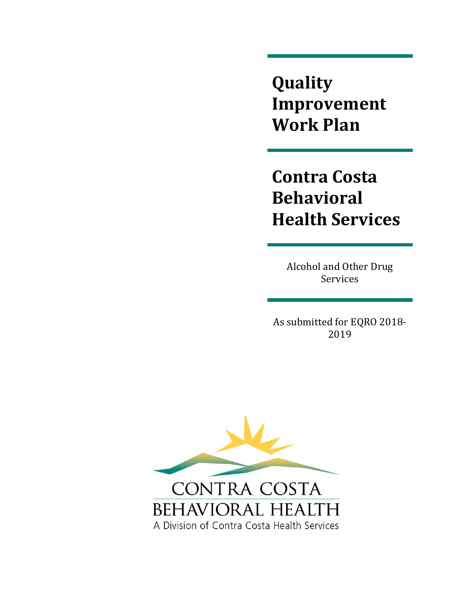**Quality Improvement Work Plan**

 **Health Services Contra Costa Behavioral**

> Alcohol and Other Drug Services

As submitted for EQRO 2018-2019 



the control of the control of the control of the control of the control of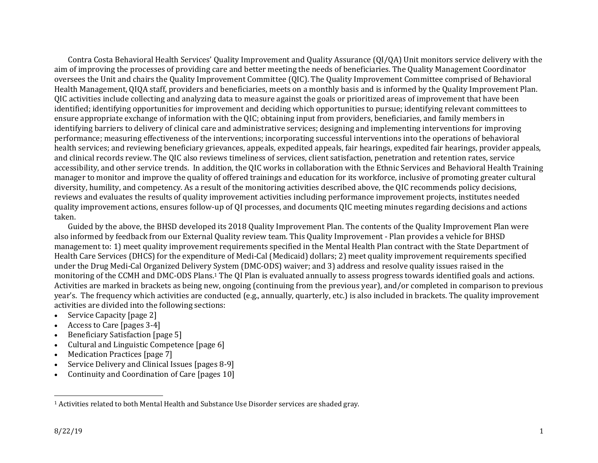Contra Costa Behavioral Health Services' Quality Improvement and Quality Assurance (QI/QA) Unit monitors service delivery with the aim of improving the processes of providing care and better meeting the needs of beneficiaries. The Quality Management Coordinator oversees the Unit and chairs the Quality Improvement Committee (QIC). The Quality Improvement Committee comprised of Behavioral Health Management, QIQA staff, providers and beneficiaries, meets on a monthly basis and is informed by the Quality Improvement Plan. OIC activities include collecting and analyzing data to measure against the goals or prioritized areas of improvement that have been identified; identifying opportunities for improvement and deciding which opportunities to pursue; identifying relevant committees to ensure appropriate exchange of information with the QIC; obtaining input from providers, beneficiaries, and family members in identifying barriers to delivery of clinical care and administrative services; designing and implementing interventions for improving performance; measuring effectiveness of the interventions; incorporating successful interventions into the operations of behavioral health services; and reviewing beneficiary grievances, appeals, expedited appeals, fair hearings, expedited fair hearings, provider appeals, and clinical records review. The OIC also reviews timeliness of services, client satisfaction, penetration and retention rates, service accessibility, and other service trends. In addition, the QIC works in collaboration with the Ethnic Services and Behavioral Health Training manager to monitor and improve the quality of offered trainings and education for its workforce, inclusive of promoting greater cultural diversity, humility, and competency. As a result of the monitoring activities described above, the OIC recommends policy decisions, reviews and evaluates the results of quality improvement activities including performance improvement projects, institutes needed quality improvement actions, ensures follow-up of QI processes, and documents QIC meeting minutes regarding decisions and actions taken. 

Guided by the above, the BHSD developed its 2018 Quality Improvement Plan. The contents of the Quality Improvement Plan were also informed by feedback from our External Quality review team. This Quality Improvement - Plan provides a vehicle for BHSD management to: 1) meet quality improvement requirements specified in the Mental Health Plan contract with the State Department of Health Care Services (DHCS) for the expenditure of Medi-Cal (Medicaid) dollars; 2) meet quality improvement requirements specified under the Drug Medi-Cal Organized Delivery System (DMC-ODS) waiver; and 3) address and resolve quality issues raised in the monitoring of the CCMH and DMC-ODS Plans.<sup>1</sup> The OI Plan is evaluated annually to assess progress towards identified goals and actions. Activities are marked in brackets as being new, ongoing (continuing from the previous year), and/or completed in comparison to previous year's. The frequency which activities are conducted (e.g., annually, quarterly, etc.) is also included in brackets. The quality improvement activities are divided into the following sections:

- c Service Capacity [page 2]
- c Access to Care [pages 3-4]
- c Beneficiary Satisfaction [page 5]
- c Cultural and Linguistic Competence [page 6]
- c Medication Practices [page 7]
- c Service Delivery and Clinical Issues [pages 8-9]
- c Continuity and Coordination of Care [pages 10]

<sup>&</sup>lt;sup>1</sup> Activities related to both Mental Health and Substance Use Disorder services are shaded gray.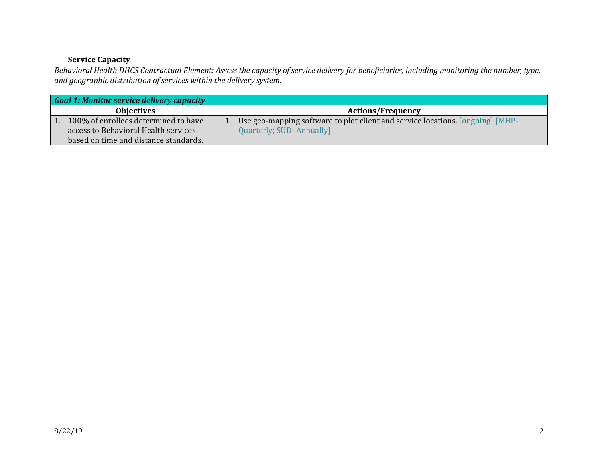## **Service Capacity**

Behavioral Health DHCS Contractual Element: Assess the capacity of service delivery for beneficiaries, including monitoring the number, type, *and geographic distribution of services within the delivery system.*

| Goal 1: Monitor service delivery capacity |                                                                                |  |  |
|-------------------------------------------|--------------------------------------------------------------------------------|--|--|
| <b>Objectives</b>                         | <b>Actions/Frequency</b>                                                       |  |  |
| 100% of enrollees determined to have      | Use geo-mapping software to plot client and service locations. [ongoing] [MHP- |  |  |
| access to Behavioral Health services      | Quarterly; SUD-Annually]                                                       |  |  |
| based on time and distance standards.     |                                                                                |  |  |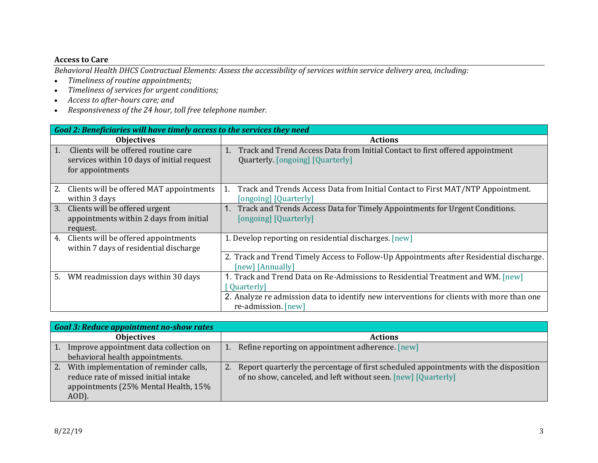#### **Access to Care**

Behavioral Health DHCS Contractual Elements: Assess the accessibility of services within service delivery area, including:

- $\bullet$ *Timeliness of routine appointments;*
- $\bullet$ *Timeliness of services for urgen<sup>t</sup> conditions;*
- $\bullet$ *Access to after‐hours care; and*
- *Responsiveness of the 24 hour, toll free telephone number.*

|    | Goal 2: Beneficiaries will have timely access to the services they need                                |                                                                                                                                                  |  |
|----|--------------------------------------------------------------------------------------------------------|--------------------------------------------------------------------------------------------------------------------------------------------------|--|
|    | <b>Objectives</b>                                                                                      | <b>Actions</b>                                                                                                                                   |  |
| 1. | Clients will be offered routine care<br>services within 10 days of initial request<br>for appointments | Track and Trend Access Data from Initial Contact to first offered appointment<br>1.<br>Quarterly. [ongoing] [Quarterly]                          |  |
| 2. | Clients will be offered MAT appointments<br>within 3 days                                              | Track and Trends Access Data from Initial Contact to First MAT/NTP Appointment.<br>1.<br>[ongoing] [Quarterly]                                   |  |
| 3. | Clients will be offered urgent<br>appointments within 2 days from initial<br>request.                  | 1. Track and Trends Access Data for Timely Appointments for Urgent Conditions.<br>[ongoing] [Quarterly]                                          |  |
| 4. | Clients will be offered appointments<br>within 7 days of residential discharge                         | 1. Develop reporting on residential discharges. [new]<br>2. Track and Trend Timely Access to Follow-Up Appointments after Residential discharge. |  |
|    |                                                                                                        | [new] [Annually]                                                                                                                                 |  |
| 5. | WM readmission days within 30 days                                                                     | 1. Track and Trend Data on Re-Admissions to Residential Treatment and WM. [new]<br>Quarterly                                                     |  |
|    |                                                                                                        | 2. Analyze re admission data to identify new interventions for clients with more than one<br>re-admission. [new]                                 |  |

|    | <b>Goal 3: Reduce appointment no-show rates</b>                                                                                 |                                                                                                                                                        |
|----|---------------------------------------------------------------------------------------------------------------------------------|--------------------------------------------------------------------------------------------------------------------------------------------------------|
|    | <b>Objectives</b>                                                                                                               | <b>Actions</b>                                                                                                                                         |
|    | Improve appointment data collection on<br>behavioral health appointments.                                                       | 1. Refine reporting on appointment adherence. [new]                                                                                                    |
| 2. | With implementation of reminder calls,<br>reduce rate of missed initial intake<br>appointments (25% Mental Health, 15%<br>AOD). | Report quarterly the percentage of first scheduled appointments with the disposition<br>of no show, canceled, and left without seen. [new] [Quarterly] |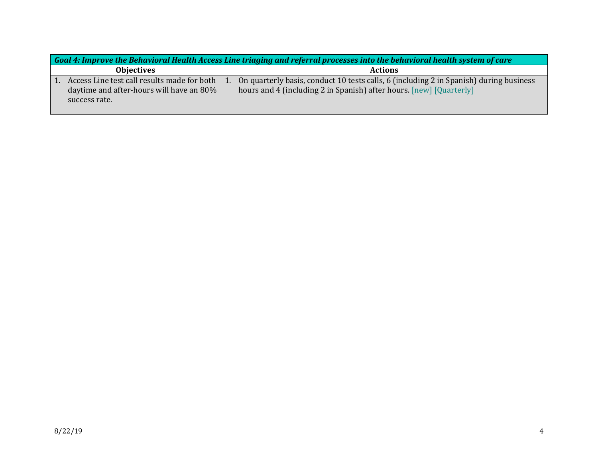| Goal 4: Improve the Behavioral Health Access Line triaging and referral processes into the behavioral health system of care |                                                                                                                                                               |  |
|-----------------------------------------------------------------------------------------------------------------------------|---------------------------------------------------------------------------------------------------------------------------------------------------------------|--|
| <b>Objectives</b>                                                                                                           | <b>Actions</b>                                                                                                                                                |  |
| Access Line test call results made for both<br>daytime and after-hours will have an 80%  <br>success rate.                  | On quarterly basis, conduct 10 tests calls, 6 (including 2 in Spanish) during business<br>hours and 4 (including 2 in Spanish) after hours. [new] [Quarterly] |  |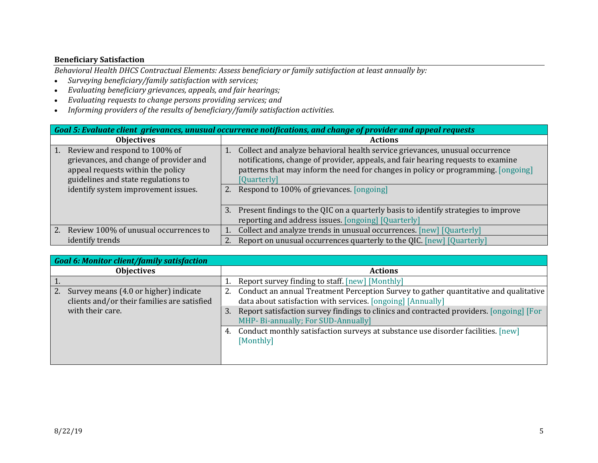## **Beneficiary Satisfaction**

*Behavioral Health DHCS Contractual Elements: Assess beneficiary or family satisfaction at least annually by:*

- $\bullet$ *Surveying beneficiary/family satisfaction with services;*
- $\bullet$ *Evaluating beneficiary grievances, appeals, and fair hearings;*
- $\bullet$ *Evaluating requests to change persons providing services; and*
- $\bullet$ *Informing providers of the results of beneficiary/family satisfaction activities.*

| Goal 5: Evaluate client grievances, unusual occurrence notifications, and change of provider and appeal requests                                                                                         |                                                                                                                                                                                                                                                                                                                        |  |
|----------------------------------------------------------------------------------------------------------------------------------------------------------------------------------------------------------|------------------------------------------------------------------------------------------------------------------------------------------------------------------------------------------------------------------------------------------------------------------------------------------------------------------------|--|
| <b>Objectives</b>                                                                                                                                                                                        | <b>Actions</b>                                                                                                                                                                                                                                                                                                         |  |
| Review and respond to 100% of<br>$\vert$ 1.<br>grievances, and change of provider and<br>appeal requests within the policy<br>guidelines and state regulations to<br>identify system improvement issues. | Collect and analyze behavioral health service grievances, unusual occurrence<br>notifications, change of provider, appeals, and fair hearing requests to examine<br>patterns that may inform the need for changes in policy or programming. [ongoing]<br>[Quarterly]<br>Respond to 100% of grievances. [ongoing]<br>2. |  |
|                                                                                                                                                                                                          | Present findings to the QIC on a quarterly basis to identify strategies to improve<br>3.<br>reporting and address issues. [ongoing] [Quarterly]                                                                                                                                                                        |  |
| Review 100% of unusual occurrences to<br>$\overline{2}$ .                                                                                                                                                | Collect and analyze trends in unusual occurrences. [new] [Quarterly]                                                                                                                                                                                                                                                   |  |
| identify trends                                                                                                                                                                                          | Report on unusual occurrences quarterly to the QIC. [new] [Quarterly]                                                                                                                                                                                                                                                  |  |

| <b>Goal 6: Monitor client/family satisfaction</b>                                                              |                                                                                                                                                                                                                                                                                                                                                                                                    |  |
|----------------------------------------------------------------------------------------------------------------|----------------------------------------------------------------------------------------------------------------------------------------------------------------------------------------------------------------------------------------------------------------------------------------------------------------------------------------------------------------------------------------------------|--|
| <b>Objectives</b>                                                                                              | <b>Actions</b>                                                                                                                                                                                                                                                                                                                                                                                     |  |
|                                                                                                                | Report survey finding to staff. [new] [Monthly]                                                                                                                                                                                                                                                                                                                                                    |  |
| Survey means (4.0 or higher) indicate<br>2.<br>clients and/or their families are satisfied<br>with their care. | Conduct an annual Treatment Perception Survey to gather quantitative and qualitative<br>data about satisfaction with services. [ongoing] [Annually]<br>Report satisfaction survey findings to clinics and contracted providers. [ongoing] [For<br>3.<br>MHP- Bi-annually; For SUD-Annually]<br>Conduct monthly satisfaction surveys at substance use disorder facilities. [new]<br>4.<br>[Monthly] |  |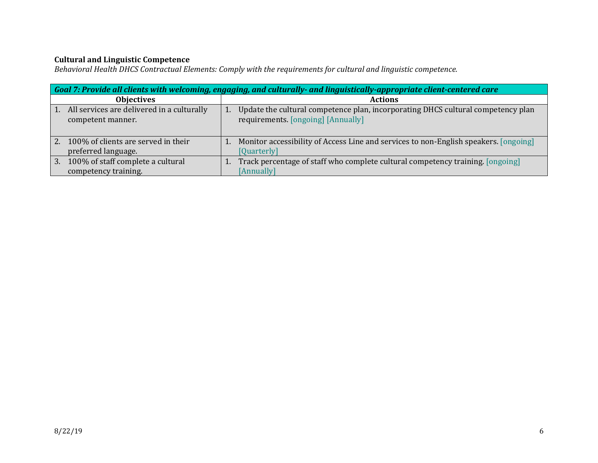## **Cultural and Linguistic Competence**

*Behavioral Health DHCS Contractual Elements: Comply with the requirements for cultural and linguistic competence.*

|                  | Goal 7: Provide all clients with welcoming, engaging, and culturally- and linguistically-appropriate client-centered care |  |                                                                                                                        |
|------------------|---------------------------------------------------------------------------------------------------------------------------|--|------------------------------------------------------------------------------------------------------------------------|
|                  | <b>Objectives</b>                                                                                                         |  | <b>Actions</b>                                                                                                         |
| $\overline{1}$ . | All services are delivered in a culturally<br>competent manner.                                                           |  | Update the cultural competence plan, incorporating DHCS cultural competency plan<br>requirements. [ongoing] [Annually] |
| 2.               | 100% of clients are served in their<br>preferred language.                                                                |  | Monitor accessibility of Access Line and services to non-English speakers. [ongoing]<br>[Quarterly]                    |
| 3.               | 100% of staff complete a cultural<br>competency training.                                                                 |  | Track percentage of staff who complete cultural competency training. [ongoing]<br>[Annually]                           |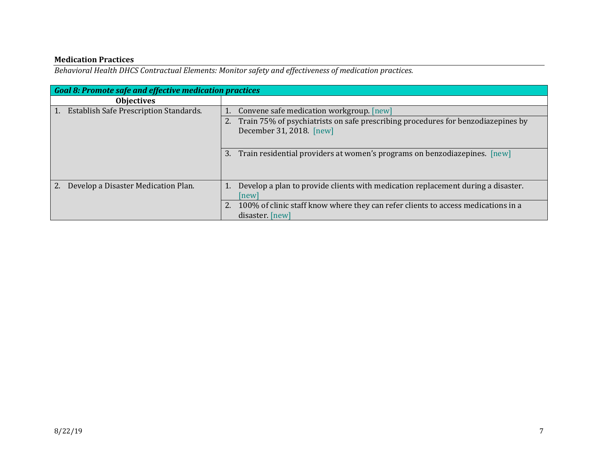#### **Medication Practices**

*Behavioral Health DHCS Contractual Elements: Monitor safety and effectiveness of medication practices.*

| Goal 8: Promote safe and effective medication practices |                                                                                   |  |
|---------------------------------------------------------|-----------------------------------------------------------------------------------|--|
| <b>Objectives</b>                                       |                                                                                   |  |
| Establish Safe Prescription Standards.<br>1.            | Convene safe medication workgroup. [new]                                          |  |
|                                                         | Train 75% of psychiatrists on safe prescribing procedures for benzodiazepines by  |  |
|                                                         | December 31, 2018. [new]                                                          |  |
|                                                         |                                                                                   |  |
|                                                         | Train residential providers at women's programs on benzodiazepines. [new]<br>3.   |  |
|                                                         |                                                                                   |  |
|                                                         |                                                                                   |  |
| $\overline{2}$ .<br>Develop a Disaster Medication Plan. | Develop a plan to provide clients with medication replacement during a disaster.  |  |
|                                                         | [new]                                                                             |  |
|                                                         | 100% of clinic staff know where they can refer clients to access medications in a |  |
|                                                         | disaster. [new]                                                                   |  |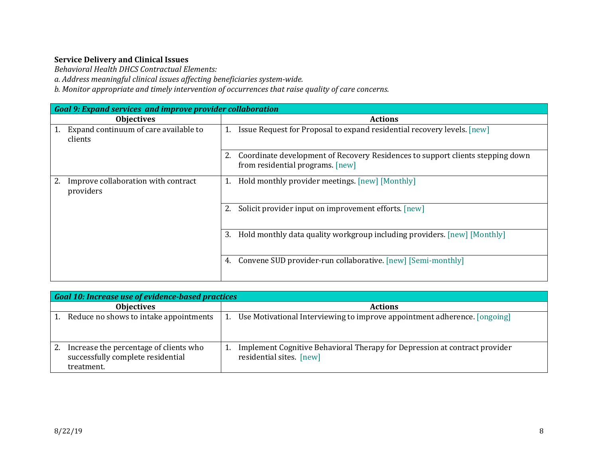## **Service Delivery and Clinical Issues**

*Behavioral Health DHCS Contractual Elements:*

*a. Address meaningful clinical issues affecting beneficiaries system‐wide.*

*b. Monitor appropriate and timely intervention of occurrences that raise quality of care concerns.*

| <b>Goal 9: Expand services and improve provider collaboration</b> |                                                                                                                          |  |
|-------------------------------------------------------------------|--------------------------------------------------------------------------------------------------------------------------|--|
| <b>Objectives</b>                                                 | <b>Actions</b>                                                                                                           |  |
| Expand continuum of care available to<br>clients                  | Issue Request for Proposal to expand residential recovery levels. [new]<br>1.                                            |  |
|                                                                   | Coordinate development of Recovery Residences to support clients stepping down<br>2.<br>from residential programs. [new] |  |
| Improve collaboration with contract<br>providers                  | Hold monthly provider meetings. [new] [Monthly]                                                                          |  |
|                                                                   | Solicit provider input on improvement efforts. [new]                                                                     |  |
|                                                                   | Hold monthly data quality workgroup including providers. [new] [Monthly]<br>3.                                           |  |
|                                                                   | Convene SUD provider-run collaborative. [new] [Semi-monthly]<br>4.                                                       |  |

| <b>Goal 10: Increase use of evidence-based practices</b>                                  |  |                                                                                                        |
|-------------------------------------------------------------------------------------------|--|--------------------------------------------------------------------------------------------------------|
| <b>Objectives</b>                                                                         |  | <b>Actions</b>                                                                                         |
| Reduce no shows to intake appointments                                                    |  | Use Motivational Interviewing to improve appointment adherence. [ongoing]                              |
| Increase the percentage of clients who<br>successfully complete residential<br>treatment. |  | Implement Cognitive Behavioral Therapy for Depression at contract provider<br>residential sites. [new] |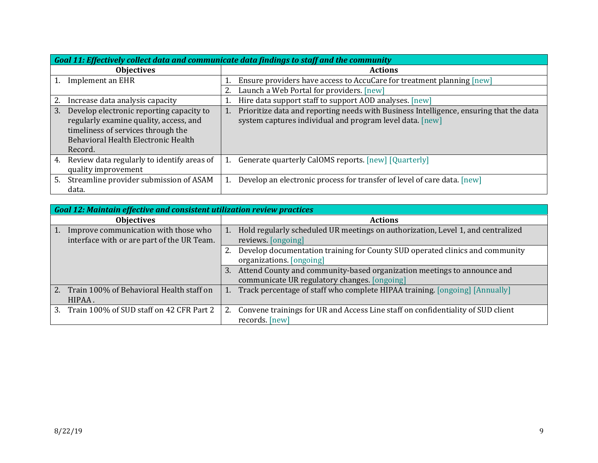| Goal 11: Effectively collect data and communicate data findings to staff and the community                                                                                       |                                                                                                                                                    |  |  |
|----------------------------------------------------------------------------------------------------------------------------------------------------------------------------------|----------------------------------------------------------------------------------------------------------------------------------------------------|--|--|
| <b>Objectives</b>                                                                                                                                                                | <b>Actions</b>                                                                                                                                     |  |  |
| Implement an EHR                                                                                                                                                                 | Ensure providers have access to AccuCare for treatment planning [new]                                                                              |  |  |
|                                                                                                                                                                                  | Launch a Web Portal for providers. [new]                                                                                                           |  |  |
| 2.<br>Increase data analysis capacity                                                                                                                                            | Hire data support staff to support AOD analyses. [new]                                                                                             |  |  |
| Develop electronic reporting capacity to<br>3.<br>regularly examine quality, access, and<br>timeliness of services through the<br>Behavioral Health Electronic Health<br>Record. | Prioritize data and reporting needs with Business Intelligence, ensuring that the data<br>system captures individual and program level data. [new] |  |  |
| Review data regularly to identify areas of<br>4.<br>quality improvement                                                                                                          | Generate quarterly CalOMS reports. [new] [Quarterly]                                                                                               |  |  |
| Streamline provider submission of ASAM<br>5.<br>data.                                                                                                                            | Develop an electronic process for transfer of level of care data. [new]                                                                            |  |  |

| <b>Goal 12: Maintain effective and consistent utilization review practices</b>           |                                                                                                                               |  |
|------------------------------------------------------------------------------------------|-------------------------------------------------------------------------------------------------------------------------------|--|
| <b>Objectives</b>                                                                        | <b>Actions</b>                                                                                                                |  |
| Improve communication with those who<br>1.<br>interface with or are part of the UR Team. | Hold regularly scheduled UR meetings on authorization, Level 1, and centralized<br>1.<br>reviews. [ongoing]                   |  |
|                                                                                          | Develop documentation training for County SUD operated clinics and community<br>organizations. [ongoing]                      |  |
|                                                                                          | Attend County and community-based organization meetings to announce and<br>3.<br>communicate UR regulatory changes. [ongoing] |  |
| Train 100% of Behavioral Health staff on<br>2.<br>HIPAA.                                 | Track percentage of staff who complete HIPAA training. [ongoing] [Annually]                                                   |  |
| Train 100% of SUD staff on 42 CFR Part 2<br>3.                                           | Convene trainings for UR and Access Line staff on confidentiality of SUD client<br>records. [new]                             |  |